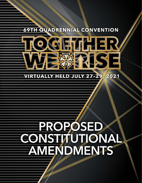# **69TH QUADRENNIAL CONVENTION**



#### **VIRTUALLY HELD JULY 27-29** 2021

# **PROPOSED CONSTITUTIONAL AMENDMENTS**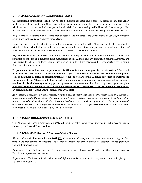# **1. ARTICLE ONE, Section 3. Membership (Page 1)**

The membership of this Alliance shall comprise the members in good standing of such local unions as shall hold a charter from this Alliance, and said affiliated local unions and such persons who, having been members of any local union which has had its charter revoked or suspended, shall retain their membership in this Alliance in the manner provided in these laws, and such persons as may acquire and hold direct membership in this Alliance pursuant to these laws.

Eligibility for membership in this Alliance shall be restricted to residents of the United States or Canada, or any other areas in which the Alliance exercises jurisdiction.

No person shall be eligible either to membership or to retain membership in this Alliance or any local union affiliated with this Alliance who shall be a member of any organization having as its aim or purpose the overthrow, by force, of the Constitution and Government of the United States or the Government of Canada.

Any member who shall, upon trial, be found to lack any of the qualifications for membership in this Alliance shall forthwith be expelled and dismissed from membership in this Alliance and any local union affiliated herewith, and shall surrender all rights and privileges as such member including death benefits and other property rights, if any, in the assets of any local union.

**To promote unity and further the purpose of this Alliance in the manner provided in this Article,** T**t**here shall be no **unlawful** discrimination against any person in respect to membership in this Alliance**. The membership shall seek to eliminate all forms of discrimination affecting the welfare of this Alliance in respect to employment. No member of this Alliance shall discriminate, encourage discrimination, or cause or attempt to cause any employer to discriminate against any person** by reason of race, color, creed, national origin, sex, age**, or religion, ethnicity, disability, pregnancy,** sexual orientation**, gender identity, gender expression, sex characteristics, veteran status, familial status, parental status, or marital status.**

*Explanation: This Section must be revised, restructured, and modified to include well-recognized anti-discrimination language in the Constitution. The language has been updated and altered in this manner to include certain matters covered by Canadian or United States law (and certain International agreements). The proposed amendments should reflect the diverse groups represented in the membership. This proposed update is inclusive and brings the Constitution in line with present-day societal concerns.* 

#### **2. ARTICLE THREE, Section 1. Regular (Page 3)**

This Alliance shall meet in Convention in **2017 2021** and thereafter at four-year intervals in such places as may be chosen by the General Executive Board.

#### **ARTICLE FIVE, Section 2. Tenure of Office (Page 6)**

Elected officers shall be elected at the **2017 2021** Convention and every four (4) years thereafter at a regular Convention and shall continue in office until the election and installation of their successors, acceptance of resignation, or removal by impeachment.

Appointed officers shall continue in office until removal by the International President, or the General Executive Board, or acceptance of resignation.

*Explanation: The dates in the Constitution and Bylaws must be current so that they are accurate and reflect present-day circumstances.*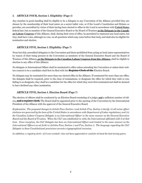## **3. ARTICLE FOUR, Section 1. Eligibility (Page 4)**

Any member in good standing shall be eligible to be a delegate to any Convention of the Alliance provided they are chosen by the membership of their local union on a secret ballot vote, or if the Local's Constitution and Bylaws so provides, are accredited by virtue of their having been elected to office in the Local in accordance with **United States** federal law; but no member of the General Executive Board or the Board of Trustees **or the Delegate to the Canadian Labour Congress** of this Alliance, shall, during their term of office, be permitted to represent any local union, but they shall have voice, although no vote, on all questions which may come before that body, and shall also be eligible for nomination and election.

### **ARTICLE FIVE, Section 3. Eligibility (Page 7)**

None but duly accredited delegates to the Convention and those prohibited from acting as local union representatives by reason of their being present in the Convention as members of the General Executive Board and the Board of Trustees of this Alliance**, or the Delegate to the Canadian Labour Congress from this Alliance,** shall be eligible to election to any office of this Alliance.

No delegate or International Officer shall be nominated to office unless attending the Convention or unless their written consent to be a candidate shall first be filed with the **Registry Clerk of the** Election Board.

No delegate may be nominated for more than one elected office in the Alliance. If nominated for more than one office, the delegate shall be required, prior to the close of nominations, to designate the office for which they wish to run; failing to so designate, they shall be a candidate for the office for which they were first nominated and shall be deemed to have declined any other nomination.

## **ARTICLE FIVE, Section 4. Election Board (Page 7)**

The election of officers shall be conducted by an Election Board consisting of a judge, **and** a sufficient number of tellers**. and a registry clerk.** The Board shall be appointed prior to the opening of the Convention by the International President of the Alliance with the approval of the General Executive Board.

*Explanation: The proposed changes to Article Four, Section 1 and Article Five, Section 3 clarify: (i) all union officer elections are governed by the laws of the United States in accordance with Department of Labor regulations; and (ii) the Canadian Labour Congress Delegate is an International Officer in the same manner as the General Executive Board and the Board of Trustees. When the CLC was established in 1956, the International affiliated with it at that time.* Since inception, the CLC Delegate has been an International Officer and treated in the same manner as the *International Officers as set forth in Articles Four, Section 1 and Five, Section 3. The language regarding the CLC Delegate in these Constitutional provisions corrects a typographical omission.* 

*In addition, a registry clerk—if it ever existed—has not been appointed or used for at least the last twenty years.*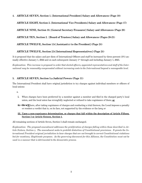#### **4. ARTICLE SEVEN, Section 1. [International President] Salary and Allowances (Page 10)**

**ARTICLE EIGHT, Section 2. [International Vice Presidents] Salary and Allowances (Page 17)** 

**ARTICLE NINE, Section 10. [General Secretary-Treasurer] Salary and Allowances (Page 20)** 

**ARTICLE TEN, Section 2. [Board of Trustees] Salary and Allowances (Pages 20-21)**

**ARTICLE TWELVE, Section 1.b [Assistant(s) to the President] (Page 24)** 

#### **ARTICLE TWELVE, Section 2.b [International Representatives] (Page 24)**

It is proposed that the salary and per diem of International Officers and staff be increased by three percent (3%) annually effective January 1, 2022 and on each subsequent January 1<sup>st</sup> through and including January 1, 2025.

*Explanation: This increase is proposed in order that elected officers, appointed representatives and staff of the International may be reasonably compensated without increasing costs to the International beyond a manageable level.* 

#### **5. ARTICLE SEVEN, Section 5.a Judicial Powers (Page 11)**

The International President shall have original jurisdiction to try charges against individual members or officers of local unions:

a.

- **i.** When charges have been preferred by a member against a member and filed in the charged party's local union, and the local union has wrongfully neglected or refused to take cognizance of them; **or**
- **ii.** Or wWhere, after taking cognizance of charges and conducting a trial thereon, the Local imposes a penalty or renders a verdict that is, on its face, not supported by the evidence or the law**,;** or

#### **iii. Upon a non-cognizance determination, or charges that fall within the description of Article Fifteen, Section 3 or Article Sixteen, Section 4.**

All remaining sections of Article Seven, Section 5 shall remain unchanged.

*Explanation: The proposed amendment addresses the proliferation of charges falling within those described in Article Sixteen, Section 4. The amendment seeks to prohibit distortion of Constitutional provisions. It grants the International President original jurisdiction to hear charges that are not brought to correct Constitutional violations but for vexatious, illegitimate purposes. As the governing document for this Alliance, the Constitution must not be used in a manner that is detrimental to the democratic process.*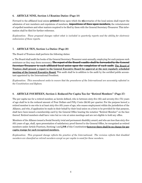## **6. ARTICLE NINE, Section 1.f Routine Duties (Page 18)**

Forward to the affiliated local unions **printed** forms upon which the **sS**ecretaries of the local unions shall report the admission of new members and expulsions of members, **impositions of fines upon members,** the reinstatement of expelled members and other matters required to be filed by them with the General Secretary-Treasurer. This information shall be filed for further reference.

*Explanation: These proposed changes reflect what is included in quarterly reports and the ability for electronic submission of these reports.*

#### **7. ARTICLE TEN, Section 1.a Duties (Page 20)**

The Board of Trustees shall perform the following duties:

a. The Board shall audit the books of the General Secretary-Treasurer semi-annually, employing for such purpose such assistance as they may deem necessary. **The report of the Board's audits shall be forwarded by the General Secretary-Treasurer to each affiliated local union upon the completion of each audit. The Board of Trustees shall present a report to the General Executive Board for approval at the next regularly scheduled meeting of the General Executive Board.** This audit shall be in addition to the audit by the certified public accountant appointed by the International President.

*Explanation: This amendment seeks to ensure that the procedures of the International are accurately reflected in the Constitution and Bylaws.* 

# **8. ARTICLE FOURTEEN, Section 2. Reduced Per Capita Tax for "Retired Members" (Page 27)**

The per capita tax for a retired member, as herein defined, who is between sixty-five (65) and seventy-five (75) years of age shall be in the reduced amount of Four Dollars and Fifty Cents (\$4.50) per quarter. For the purpose hereof, a retired member is one who is at least sixty-five (65) years of age, who ceases employment within the jurisdiction of the Alliance, and who, if application be made in their behalf by their local union on a form to be provided for that purpose, shall have been issued a membership card by the General Office bearing the notation "Retired Member" on the face thereof. Retired members shall have voice but no vote at union meetings and are not eligible to hold any office.

Members of the Alliance issued a Social Security total and permanent disability award, and who are less than sixty-five (65) years of age, shall, upon presentation of satisfactory proof thereof to the General Office, be recognized as retired members under Article Fourteen, Section**s** 1 and **2 1A** of this Constitution**. however there shall be no charge for per capita stamps for such recognized members.**

*Explanation: This proposed change reflects the practice of the International. The revision reflects that disabled members are classified as retired members except no per capita is owed for these members.*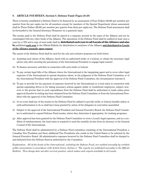#### **9. ARTICLE FOURTEEN, Section 8. Defense Fund (Pages 28-29)**

There is hereby established a Defense Fund to be financed by an assessment of Four Dollars (\$4.00) per member per quarter from the per capita tax for all members except for members of the Special Department whose assessment shall be Three Dollars (\$3.00) per member per quarter from their per capita tax. The Defense Fund assessment shall be forwarded to the General Secretary-Treasurer on a quarterly basis.

The monies paid to the Defense Fund shall be placed in a separate account in the name of the Alliance and not be commingled with any other funds of the Alliance. The operations of the Defense Fund shall be audited at least once a year by a CPA and a copy of such audit shall be **distributed each year to all Locals of the Alliance and also be** published **each year** in the Official Bulletin for distribution to members of the Alliance **and distributed to Locals of the Alliance annually upon request**.

The assets of the Defense Fund shall be used for the sole and exclusive purposes set forth below:

- (a) Assisting local unions of the Alliance, faced with an authorized strike or a lockout, to obtain the necessary legal advice only after securing the permission of the International President to engage legal counsel.
- (b) To finance necessary activities in connection with such strike or lockout.
- (c) To pay certain legal bills of the Alliance where the International is the bargaining agent and to cover other legal expenses of the International in special situations where, in the judgment of the Defense Fund Committee or of the International President with the approval of the Defense Fund Committee, the circumstances warrant it.
- (d) To pay or provide for the payment of expenses incurred by the International or a local union in connection with special organizing drives or for taking necessary actions against unfair or recalcitrant employers, subject, however, to the proviso that no such expenditures from the Defense Fund shall be authorized or made unless prior approval therefor in writing has been obtained from the Defense Fund Committee or from the International President with the approval of the Defense Fund Committee.
- (e) In no event shall any of the monies in the Defense Fund be utilized to provide strike or lockout benefits unless or until authorization to do so shall have been granted by action of the delegates in convention assembled.
- (f) Subject to the approval of the International President and General Executive Board, the Defense Fund Committee is authorized to expend Defense Fund monies, where they determine it appropriate, for training programs.
- (g) After approval has been granted by the Defense Fund Committee to cover a Local's legal expenses, and as a condition of reimbursement, the local union is required to send the monthly invoice from its attorney to the General Counsel of the International.

The Defense Fund shall be administered by a Defense Fund committee consisting of the International President, a Canadian Vice President and three additional Vice Presidents who reside in the United States to be selected by the General Executive Board. All administrative expenses incurred by the Defense Fund Committee shall be charged to and deducted from the Defense Fund as authorized by the Committee.

*Explanation: All of the funds of the International, including the Defense Fund, are audited annually by certified public accountants in accordance with Article Seven, Section 8. The reports are published annually in the Official Bulletin. This change does not alter current practice, which makes such reports available to all Locals.*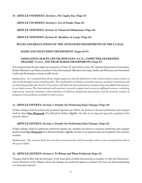## **10. ARTICLE FOURTEEN, Section 1. Per Capita Tax (Page 27)**

**ARTICLE FOURTEEN, Section 5. Use of Funds (Page 28)**

**ARTICLE NINETEEN, Section 12. Financial Obligations (Page 46)**

**ARTICLE NINETEEN, Section 25. Members At Large (Page 50)**

#### **RULES AND REGULATIONS OF THE AFFILIATED DEPARTMENTS OF THE I.A.T.S.E.**

# **RADIO AND TELEVISION DEPARTMENT (Pages 65-67)**

#### **ASSOCIATED CRAFTS AND TECHNICIANS (A.C.T.), COMPUTER GENERATED IMAGERY (C.G.I.), AND TELECHARGE DEPARTMENTS (Page 67)**

It is proposed that the per capita tax payments of Class "A" local unions, Class "B" (Special Department) local unions, Retired Members and direct members of the International (Members At Large, Radio and Television and Associated Crafts and Technicians) remain at 2021 levels.

*Explanation: It is proposed that all per capita payments and all allocations to the various funds remain frozen at 2021 levels through to and including 2025. The combination of closely controlled expenses, prudent investments and membership growth since the 2017 Convention will allow the International to not pass along any additional expenses to our local unions. The International will continue to provide support and services to affiliated unions—including organizing, training, education, administration of collective bargaining agreements, and the growing number of programs and assistance available to local unions.*

# **11. ARTICLE FIFTEEN, Section 3. Penalty for Preferring False Charges (Page 30)**

If false charges shall be maliciously preferred against any officer, the person or persons preferring such charges shall be fined **Two Thousand,** Five Hundred Dollars (\$**2,**500), the fine to be imposed upon the acquittal of the accused officer.

#### **ARTICLE SIXTEEN, Section 4. Penalty for Preferring False Charges (Page 32)**

If false charges shall be maliciously preferred against any member, the person or persons preferring such charges shall be fined **Two Thousand,** Five Hundred Dollars (\$**2,**500), the fine to be imposed upon the acquittal of the member accused.

*Explanation: The amount of the fine was last increased at the 1982 Convention when it was increased from \$25 to the present \$500.*

#### **12. ARTICLE SIXTEEN, Section 6. To Whom and When Preferred (Page 32)**

Charges shall be filed with the Secretary of the local union of which the accused is a member or with the General Secretary-Treasurer of the Alliance where the charges are preferred against a member who does not hold membership in a local union thereof.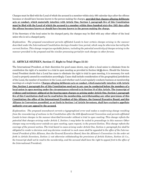Charges must be filed with the Local of which the accused is a member within sixty (60) calendar days after the offense becomes or should have become known to the person making the charge**., provided that charges alleging deliberate acts or conduct, which materially interfere with Article One, Section 3, paragraph five of this Constitution must be filed with the Local of which the accused is a member within three hundred sixty-five (365) days after the offense becomes known or should have become known to the person making the charge.**

If the Secretary of the local union be the charged party, the charges may be filed with any other officer of the local union who is not a charged party.

*Explanation: The proposed amendment permits affiliated Locals to hear certain charges arising in the manner described under the International Constitution during a broader time period, which may be otherwise barred by the current Section. This change recognizes equitable factors, including the potential sensitivity of charges arising in the manner provided in the proposal and the similar processing period for such charges in other forums.* 

# **13. ARTICLE SIXTEEN, Section 17. Right to Trial (Pages 33-34)**

The International President, at their discretion for good cause shown, may allow a local union to eliminate from its constitution the right of a member to a trial in open meeting as provided in Section 14 **16** above. Should the International President decide that a Local has cause to eliminate the right to trial in open meeting, it is necessary for such Local to properly amend its constitution accordingly. Cause shall include consideration of the geographical jurisdiction of the Local, the number of members in the Local, and whether such Local regularly conducts business at membership meetings at a single location. **Charges alleging deliberate acts or conduct, which materially interfere with Article One, Section 3, paragraph five of this Constitution need not in any case be conducted before the members of a local union in open meeting under the circumstances referred to in Section 16 of this Article. The transcript of evidence and testimony adduced at the hearing upon charges so arising under Article One, Section 3, paragraph five of this Constitution shall not be read before the membership, notwithstanding any other provisions of this Constitution; the office of the International President of this Alliance, the General Executive Board, and this Alliance in Convention assembled, as set forth in Section 1 of Article Seventeen, shall have exclusive appellate authority over any appeal by the accused.**

*Explanation: The proposed amendment corrects a typographical error and makes a conforming change resulting from the renumbering of sections in the Constitution after the 68th Quadrennial Convention and permits affiliated*  Locals to hear charges in the manner described hereunder without a trial in open meeting. This change reflects the *potential that charges arising under Article I, Section 3 may better be suited to proceedings in this manner. Other charges may currently occur outside an open meeting, upon request, in the present Section. This change reflects the coverage of the present section. The trial board in cases arising under Article One, Section 3, paragraph five shall be obligated to render a decision and any decision rendered in such cases shall be appealed to the office of the International President of this Alliance, then the General Executive Board, then the Alliance's Convention (in the order set forth in Article Seventeen, Section 1) not otherwise withstanding the provisions of Article Sixteen, Section 25 (i.e., the transcript shall not be read to the membership, and the accused shall have the right to appeal first to the office of the International President).*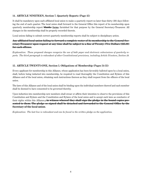# **14. ARTICLE NINETEEN, Section 7. Quarterly Reports (Page 45)**

It shall be mandatory upon each affiliated local union to make a quarterly report no later than thirty (30) days following the end of each quarter. The local union shall forward to the General Office this report of its membership upon quarterly membership report **blanks forms** furnished for that purpose by the General Secretary-Treasurer. All changes in the membership shall be properly recorded therein.

Local unions failing to submit correct quarterly membership reports shall be subject to disciplinary action.

### **Any affiliated local union failing to forward a complete roster of its membership to the General Secretary-Treasurer upon request at any time shall be subject to a fine of Twenty- Five Dollars (\$25.00) for each offense.**

*Explanation: These proposed changes recognize the use of both paper and electronic submissions of quarterly re*ports. The third paragraph is redundant of other Constitutional provisions, including Article Nineteen, Section 29.

#### **15. ARTICLE TWENTY-ONE, Section 5. Obligations of Membership (Pages 54-55)**

Every applicant for membership in this Alliance, whose application has been favorably balloted upon by a local union, shall, before being inducted into membership, be required to read thoroughly the Constitution and Bylaws of this Alliance and of the local union, obtaining such instructions thereon as they shall request from the officers of the local union.

The laws of this Alliance and of the local union shall be binding upon the individual members thereof and each member shall be deemed to have consented to be governed thereby.

Upon induction into membership new members shall swear or affirm their intention to observe the provisions of this Constitution and Bylaws and the Constitution and Bylaws of the local union and to accept such laws as conclusive of their rights within this Alliance**., in witness whereof they shall sign the pledge in the bound copies presented to them. The pledge so signed shall be detached and forwarded to the General Office by the Secretary of the local union.**

*Explanation: The last line is redundant and can be found in the written pledge on the application.*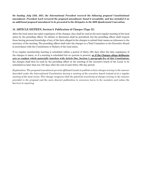*On Sunday, July 25th, 2021, the International President received the following proposed Constitutional amendment. President Loeb reviewed the proposed amendment, found it acceptable, and has included it as an additional proposed amendment to be presented to the Delegates to the 69th Quadrennial Convention.*

# **16. ARTICLE SIXTEEN, Section 9. Publication of Charges (Page 32)**

After the local union has taken cognizance of the charges, they shall be read at the next regular meeting of the local union by the presiding officer. No debate or discussion shall be permitted, but the presiding officer shall request those having personal knowledge of any of the facts alleged in the charges to submit their names as witnesses to the secretary of the meeting. The presiding officer shall refer the charges to a Trial Committee or the Executive Board in accordance with the Constitution or Bylaws of the local union.

If no regular membership meeting is scheduled within a period of thirty (30) days after the date cognizance of the charges is taken, or if a meeting is scheduled but no quorum is present, **or if the Charges allege deliberate acts or conduct which materially interfere with Article One, Section 3, paragraph five of this Constitution**, the charges shall then be read by the presiding officer at the meeting of the executive board of the Local, to be scheduled no later than ten (10) days after the end of such thirty (30) day period.

*Explanation: The proposed amendment permits affiliated Locals to publish certain charges arising in the manner described under the International Constitution during a meeting of the executive board instead of at a regular meeting of the local union. This change recognizes that the potential sensitivity of charges arising in the manner provided in the proposal and the more discreet publication to minimize harm to the members and reduce the barriers to reporting.*